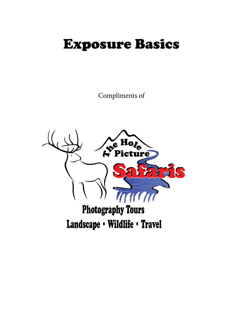## Exposure Basics

Compliments of

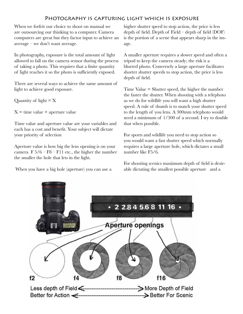#### Photography is capturing light which is exposure

When we forfeit our choice to shoot on manual we are outsourcing our thinking to a computer. Camera computers are great but they factor input to achieve an average – we don't want average.

In photography, exposure is the total amount of light allowed to fall on the camera sensor during the process of taking a photo. This requires that a finite quantity of light reaches it so the photo is sufficiently exposed.

There are several ways to achieve the same amount of light to achieve good exposure.

Quantity of light  $= X$ 

 $X =$  time value  $+$  aperture value

Time value and aperture value are your variables and each has a cost and benefit. Your subject will dictate your priority of selection

Aperture value is how big the lens opening is on your camera  $F 5/6 - F8 - F11$  etc., the higher the number the smaller the hole that lets in the light.

When you have a big hole (aperture) you can use a

higher shutter speed to stop action, the price is less depth of field. Depth of Field – depth of field (DOF) is the portion of a scene that appears sharp in the image.

A smaller aperture requires a slower speed and often a tripod to keep the camera steady; the risk is a blurred photo. Conversely a large aperture facilitates shorter shutter speeds to stop action, the price is less depth of field.

Time Value = Shutter speed, the higher the number the faster the shutter. When shooting with a telephoto as we do for wildlife you will want a high shutter speed. A rule of thumb is to match your shutter speed to the length of you lens. A 300mm telephoto would need a minimum of 1/300 of a second. I try to double that when possible.

For sports and wildlife you need to stop action so you would want a fast shutter speed which normally requires a large aperture hole, which dictates a small number like F5/6.

For shooting scenics maximum depth of field is desirable dictating the smallest possible aperture and a

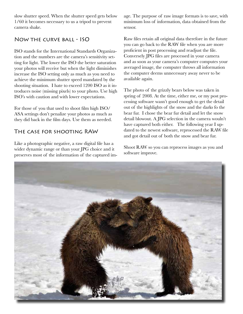slow shutter speed. When the shutter speed gets below 1/60 it becomes necessary to us a tripod to prevent camera shake.

### Now the curve ball - ISO

ISO stands for the International Standards Organization and the numbers are the camera's sensitivity setting for light. The lower the ISO the better saturation your photos will receive but when the light diminishes increase the ISO setting only as much as you need to achieve the minimum shutter speed mandated by the shooting situation. I hate to exceed 1200 ISO as it introduces noise (missing pixels) to your photo. Use high ISO's with caution and with lower expectations.

For those of you that used to shoot film high ISO/ ASA settings don't penalize your photos as much as they did back in the film days. Use them as needed.

## The case for shooting RAW

Like a photographic negative, a raw digital file has a wider dynamic range or than your JPG choice and it preserves most of the information of the captured image. The purpose of raw image formats is to save, with minimum loss of information, data obtained from the sensor.

Raw files retain all original data therefore in the future you can go back to the RAW file when you are more proficient in post processing and readjust the file. Conversely JPG files are processed in your camera and as soon as your camera's computer computes your averaged image, the computer throws all information the computer deems unnecessary away never to be available again.

The photo of the grizzly bears below was taken in spring of 2008. At the time, either me, or my post processing software wasn't good enough to get the detail out of the highlights of the snow and the darks fo the bear fur. I chose the bear fur detail and let the snow detail blowout. A JPG selection in the camera wouln't have captured both either. The following year I updated to the newest software, reprocessed the RAW file and got detail out of both the snow and bear fur.

Shoot RAW so you can reprocess images as you and software improve.

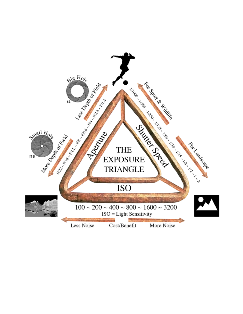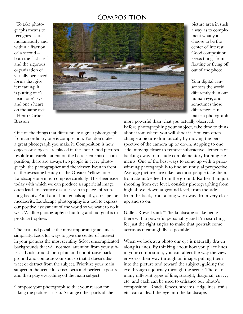### Composition

"To take photographs means to recognize -- simultaneously and within a fraction of a second - both the fact itself and the rigorous organization of visually perceived forms that give it meaning. It is putting one's head, one's eye and one's heart on the same axis." - Henri Cartier-Bresson



picture area in such a way as to complement what you choose to be the center of interest. Good composition keeps things from floating or flying off out of the photo.

Your digital censor sees the world differently than our human eye, and sometimes those differences can make a photograph

One of the things that differentiate a great photograph from an ordinary one is composition. You don't take a great photograph you make it. Composition is how objects or subjects are placed in the shot. Good pictures result from careful attention the basic elements of composition, there are always two people in every photograph: the photographer and the viewer. Even in front of the awesome beauty of the Greater Yellowstone Landscape one must compose carefully. The sheer ease today with which we can produce a superficial image often leads to creative disaster even in places of stunning beauty. Point and shoot equals apathy, a recipe for mediocrity. Landscape photography is a tool to express our positive assessment of the world so we want to do it well. Wildlife photography is hunting and our goal is to produce trophies.

The first and possible the most important guideline is simplicity. Look for ways to give the center of interest in your pictures the most scrutiny. Select uncomplicated backgrounds that will not steal attention from your subjects. Look around for a plain and unobtrusive background and compose your shot so that it doesn't distract or detract from the subject. Prioritize your main subject in the scene for crisp focus and perfect exposure and then play everything off the main subject.

Compose your photograph so that your reason for taking the picture is clear. Arrange other parts of the

more powerful than what you actually observed. Before photographing your subject, take time to think about from where you will shoot it. You can often change a picture dramatically by moving the perspective of the camera up or down, stepping to one side, moving closer to remove subtractive elements of backing away to include complementary framing elements. One of the best ways to come up with a prizewinning photograph is to find an unusual perspective. Average pictures are taken as most people take them, from about 5+ feet from the ground. Rather than just shooting from eye level, consider photographing from high above, down at ground level, from the side, from the back, from a long way away, from very close up, and so on.

Gallen Rowell said: "The landscape is like being there with a powerful personality and I'm searching for just the right angles to make that portrait come across as meaningfully as possible".

When we look at a photo our eye is naturally drawn along its lines. By thinking about how you place lines in your composition, you can affect the way the viewer works their way through an image, pulling them into the picture and toward the subject, guiding the eye through a journey through the scene. There are many different types of line, straight, diagonal, curvy, etc. and each can be used to enhance our photo's composition. Roads, fences, streams, ridgelines, trails etc. can all lead the eye into the landscape.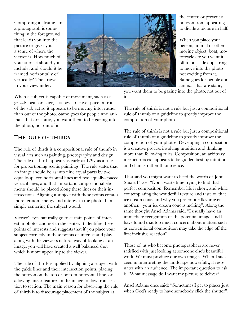Composing a "frame" in a photograph is something in the foreground that leads you into the picture or gives you a sense of where the viewer is. How much of your subject should you include, and should it be framed horizontally of vertically? The answer is in your viewfinder.



When a subject is capable of movement, such as a grizzly bear or skier, it is best to leave space in front of the subject so it appears to be moving into, rather than out of the photo. Same goes for people and animals that are static, you want them to be gazing into the photo, not out of it.

#### The rule of thirds

The rule of thirds is a compositional rule of thumb in visual arts such as painting, photography and design The rule of thirds appears as early as 1797 as a rule for proportioning scenic paintings. The rule states that an image should be as into nine equal parts by two equally-spaced horizontal lines and two equally-spaced vertical lines, and that important compositional elements should be placed along these lines or their intersections. Aligning a subject with these points creates more tension, energy and interest in the photo than simply centering the subject would.

Viewer's eyes naturally go to certain points of interest in photos and not to the center. It identifies these points of interests and suggests that if you place your subject correctly in these points of interest and play along with the viewer's natural way of looking at an image, you will have created a well balanced shot which is more appealing to the viewer.

The rule of thirds is applied by aligning a subject with the guide lines and their intersection points, placing the horizon on the top or bottom horizontal line, or allowing linear features in the image to flow from section to section. The main reason for observing the rule of thirds is to discourage placement of the subject at

the center, or prevent a horizon from appearing to divide a picture in half.

When you place your person, animal or other moving object, boat, motorcycle etc you want it off to one side appearing to move into the photo not exciting from it. Same goes for people and animals that are static,

you want them to be gazing into the photo, not out of it.

The rule of thirds is not a rule but just a compositional rule of thumb or a guideline to greatly improve the composition of your photos.

The rule of thirds is not a rule but just a compositional rule of thumb or a guideline to greatly improve the composition of your photos. Developing a composition is a creative process involving intuition and thinking more than following rules. Composition, an arbitrary, inexact process, appears to be guided best by intuition and chance rather than science.

That said you might want to heed the words of John Stuart Pryce: "Don't waste time trying to find that perfect composition. Remember life is short, and while contemplating the wonderful texture and taste of that ice cream cone, and why you prefer one flavor over another... your ice cream cone is melting". Along the same thought Ansel Adams said, "I usually have an immediate recognition of the potential image, and I have found that too much concern about matters such as conventional composition may take the edge off the first inclusive reaction".

Those of us who become photographers are never satisfied with just looking at someone else's beautiful work. We must produce our own images. When I succeed in interpreting the landscape powerfully, it resonates with an audience. The important question to ask is "What message do I want my picture to deliver?

Ansel Adams once said: "Sometimes I get to places just when God's ready to have somebody click the shutter".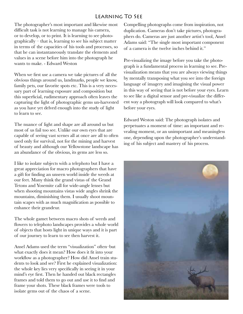#### Learning To See

The photographer's most important and likewise most difficult task is not learning to manage his camera, or to develop, or to print. It is learning to see photographically – that is, learning to see his subject matter in terms of the capacities of his tools and processes, so that he can instantaneously translate the elements and values in a scene before him into the photograph he wants to make. - Edward Weston

When we first use a camera we take pictures of all the obvious things around us, landmarks, people we know, family pets, our favorite spots etc. This is a very necessary part of learning exposure and composition but this superficial, rudimentary approach often leaves the capturing the light of photographic gems un-harvested as you have yet delved enough into the study of light to learn to see.

The nuance of light and shape are all around us but most of us fail too see. Unlike our own eyes that are capable of seeing vast scenes all at once are all to often used only for survival, not for the mining and harvest of beauty and although our Yellowstone landscape has an abundance of the obvious, its gems are less so.

I like to isolate subjects with a telephoto but I have a great appreciation for macro photographers that have a gift for finding an unseen world inside the weeds at our feet. Many think the grand vistas of the Grand Tetons and Yosemite call for wide-angle lenses but when shooting mountains vistas wide angles shrink the mountains, diminishing them. I usually shoot mountain scapes with as much magnification as possible to enhance their grandeur.

The whole gamet between macro shots of weeds and flowers to telephoto landscapes provides a whole world of objects that hosts light in unique ways and it is part of our journey to learn to see then harvest it.

Ansel Adams used the term "visualization" often–but what exactly does it mean? How does it fit into your workflow as a photographer? How did Ansel train students to look and see? First he explained visualization: the whole key lies very specifically in seeing it in your mind's eye first. Then he handed out black rectangles frames and told them to go out and use it to find and frame your shots. These black frames were tools to isolate gems out of the chaos of a scene.

Compelling photographs come from inspiration, not duplication. Cameras don't take pictures, photographers do. Cameras are just another artist's tool, Ansel Adams said: "The single most important component of a camera is the twelve inches behind it."

Pre-visualizing the image before you take the photograph is a fundamental process in learning to see. Previsualization means that you are always viewing things by mentally transposing what you see into the foreign language of imagery and imagining the visual power in this way of seeing that is not before your eyes. Learn to see like a digital sensor and pre-visualize the different way a photograph will look compared to what's before your eyes.

Edward Weston said: The photograph isolates and perpetuates a moment of time: an important and revealing moment, or an unimportant and meaningless one, depending upon the photographer's understanding of his subject and mastery of his process.